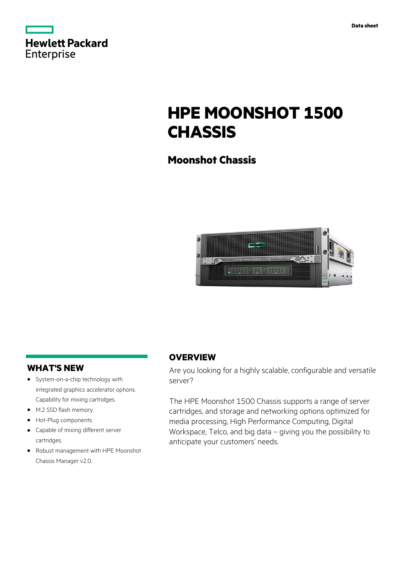| <b>Hewlett Packard</b> |  |  |
|------------------------|--|--|
| <b>Enterprise</b>      |  |  |

# **HPE MOONSHOT 1500 CHASSIS**

# **Moonshot Chassis**



# **WHAT'S NEW**

- **·** System-on-a-chip technology with integrated graphics accelerator options. Capability for mixing cartridges.
- **·** M.2 SSD flash memory.
- **·** Hot-Plug components.
- **·** Capable of mixing different server cartridges.
- **·** Robust management with HPE Moonshot Chassis Manager v2.0.

# **OVERVIEW**

Are you looking for a highly scalable, configurable and versatile server?

The HPE Moonshot 1500 Chassis supports a range of server cartridges, and storage and networking options optimized for media processing, High Performance Computing, Digital Workspace, Telco, and big data – giving you the possibility to anticipate your customers' needs.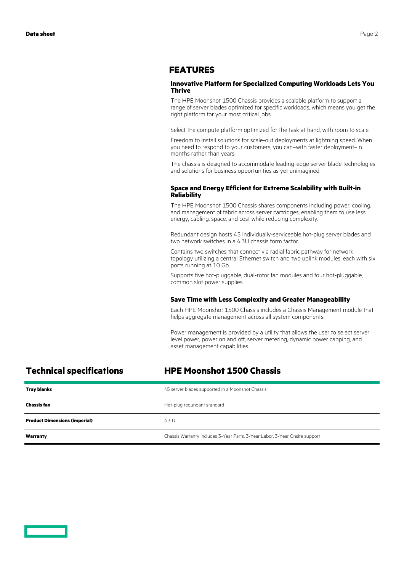### **FEATURES**

#### **Innovative Platform for Specialized Computing Workloads Lets You Thrive**

The HPE Moonshot 1500 Chassis provides a scalable platform to support a range of server blades optimized for specific workloads, which means you get the right platform for your most critical jobs.

Select the compute platform optimized for the task at hand, with room to scale.

Freedom to install solutions for scale-out deployments at lightning speed. When you need to respond to your customers, you can–with faster deployment–in months rather than years.

The chassis is designed to accommodate leading-edge server blade technologies and solutions for business opportunities as yet unimagined.

#### **Space and Energy Efficient for Extreme Scalability with Built-in Reliability**

The HPE Moonshot 1500 Chassis shares components including power, cooling, and management of fabric across server cartridges, enabling them to use less energy, cabling, space, and cost while reducing complexity.

Redundant design hosts 45 individually-serviceable hot-plug server blades and two network switches in a 4.3U chassis form factor.

Contains two switches that connect via radial fabric pathway for network topology utilizing a central Ethernet switch and two uplink modules, each with six ports running at 10 Gb.

Supports five hot-pluggable, dual-rotor fan modules and four hot-pluggable, common slot power supplies.

#### **Save Time with Less Complexity and Greater Manageability**

Each HPE Moonshot 1500 Chassis includes a Chassis Management module that helps aggregate management across all system components.

Power management is provided by a utility that allows the user to select server level power, power on and off, server metering, dynamic power capping, and asset management capabilities.

# **Technical specifications HPE Moonshot 1500 Chassis**

| <b>Tray blanks</b>                   | 45 server blades supported in a Moonshot Chassis                            |
|--------------------------------------|-----------------------------------------------------------------------------|
| <b>Chassis fan</b>                   | Hot-plug redundant standard                                                 |
| <b>Product Dimensions (imperial)</b> | 4.3 U                                                                       |
| Warranty                             | Chassis Warranty includes 3-Year Parts, 3-Year Labor, 3-Year Onsite support |